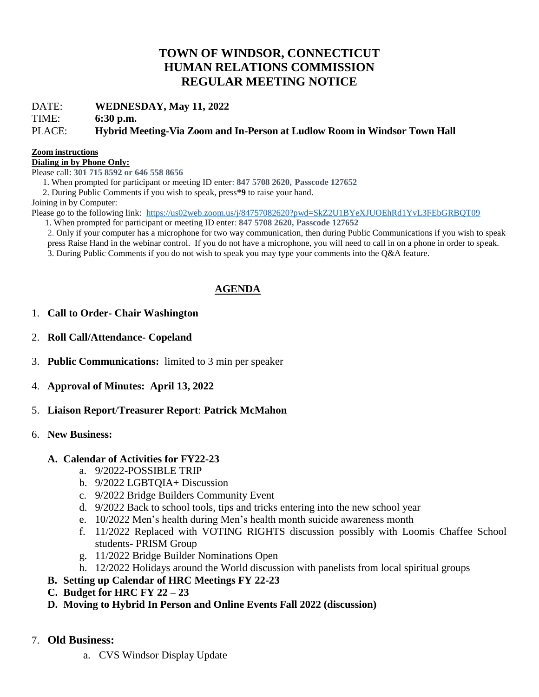# **TOWN OF WINDSOR, CONNECTICUT HUMAN RELATIONS COMMISSION REGULAR MEETING NOTICE**

DATE: **WEDNESDAY, May 11, 2022**

TIME: **6:30 p.m.**

### PLACE: **Hybrid Meeting-Via Zoom and In-Person at Ludlow Room in Windsor Town Hall**

#### **Zoom instructions**

**Dialing in by Phone Only:**

Please call: **301 715 8592 or 646 558 8656** 

1. When prompted for participant or meeting ID enter: **847 5708 2620, Passcode 127652**

2. During Public Comments if you wish to speak, press**\*9** to raise your hand.

Joining in by Computer:

Please go to the following link: <https://us02web.zoom.us/j/84757082620?pwd=SkZ2U1BYeXJUOEhRd1YvL3FEbGRBQT09>

1. When prompted for participant or meeting ID enter: **847 5708 2620, Passcode 127652**

2. Only if your computer has a microphone for two way communication, then during Public Communications if you wish to speak press Raise Hand in the webinar control. If you do not have a microphone, you will need to call in on a phone in order to speak.

3. During Public Comments if you do not wish to speak you may type your comments into the Q&A feature.

## **AGENDA**

### 1. **Call to Order- Chair Washington**

- 2. **Roll Call/Attendance- Copeland**
- 3. **Public Communications:** limited to 3 min per speaker
- 4. **Approval of Minutes: April 13, 2022**
- 5. **Liaison Report**/**Treasurer Report**: **Patrick McMahon**

### 6. **New Business:**

### **A. Calendar of Activities for FY22-23**

- a. 9/2022-POSSIBLE TRIP
- b. 9/2022 LGBTQIA+ Discussion
- c. 9/2022 Bridge Builders Community Event
- d. 9/2022 Back to school tools, tips and tricks entering into the new school year
- e. 10/2022 Men's health during Men's health month suicide awareness month
- f. 11/2022 Replaced with VOTING RIGHTS discussion possibly with Loomis Chaffee School students- PRISM Group
- g. 11/2022 Bridge Builder Nominations Open
- h. 12/2022 Holidays around the World discussion with panelists from local spiritual groups
- **B. Setting up Calendar of HRC Meetings FY 22-23**
- **C. Budget for HRC FY 22 – 23**
- **D. Moving to Hybrid In Person and Online Events Fall 2022 (discussion)**
- 7. **Old Business:**
	- a. CVS Windsor Display Update